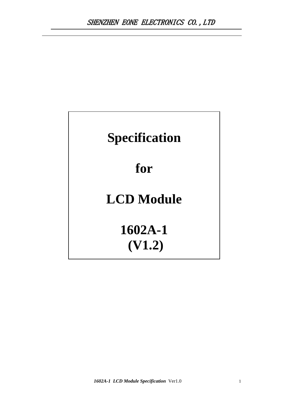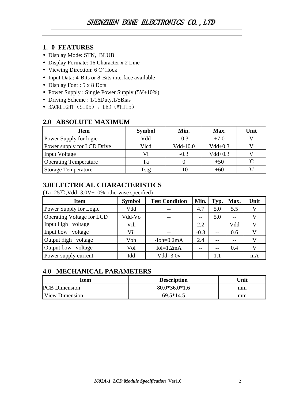# **1. 0 FEATURES**

- Display Mode: STN, BLUB
- Display Formate: 16 Character x 2 Line
- Viewing Direction: 6 O'Clock
- Input Data: 4-Bits or 8-Bits interface available
- Display Font : 5 x 8 Dots
- Power Supply : Single Power Supply  $(5V\pm 10\%)$
- Driving Scheme : 1/16Duty, 1/5Bias
- BACKLIGHT (SIDE) : LED (WHITE)

## **2.0 ABSOLUTE MAXIMUM**

| <b>Item</b>                  | <b>Symbol</b> | Min.     | Max.      | Unit |
|------------------------------|---------------|----------|-----------|------|
| Power Supply for logic       | Vdd           | $-0.3$   | $+7.0$    |      |
| Power supply for LCD Drive   | Vlcd          | Vdd-10.0 | $Vdd+0.3$ |      |
| <b>Input Voltage</b>         | Vi            | $-0.3$   | $Vdd+0.3$ |      |
| <b>Operating Temperature</b> | Ta            |          | $+50$     | ົ    |
| <b>Storage Temperature</b>   | Tstg          | $-1()$   | $+60$     | ิ่∩° |

# **3.0ELECTRICAL CHARACTERISTICS**

 $(Ta=25^{\circ}C;Vdd=3.0V\pm10\%$ , otherwise specified)

| <b>Item</b>                      | <b>Symbol</b> | <b>Test Condition</b> | Min.   | Typ.    | Max.  | Unit |
|----------------------------------|---------------|-----------------------|--------|---------|-------|------|
| Power Supply for Logic           | Vdd           |                       | 4.7    | 5.0     | 5.5   |      |
| <b>Operating Voltage for LCD</b> | Vdd-Vo        | $- -$                 | $-$    | 5.0     | $- -$ |      |
| Input High voltage               | Vih           | $- -$                 | 2.2    | $-$     | Vdd   |      |
| Input Low voltage                | Vil           | --                    | $-0.3$ | $-$     | 0.6   |      |
| Output High voltage              | Voh           | $-Ioh=0.2mA$          | 2.4    | $- -$   | --    |      |
| Output Low voltage               | Vol           | $Iol=1.2mA$           |        | --      | 0.4   |      |
| Power supply current             | Idd           | $Vdd = 3.0v$          | $- -$  | $1.1\,$ |       | mA   |

# **4.0 MECHANICAL PARAMETERS**

| Item                  | <b>Description</b> | <b>Jnit</b> |  |  |
|-----------------------|--------------------|-------------|--|--|
| <b>PCB</b> Dimension  | $80.0*36.0*1.6$    | mm          |  |  |
| <b>View Dimension</b> | $69.5*14.5$        | mm          |  |  |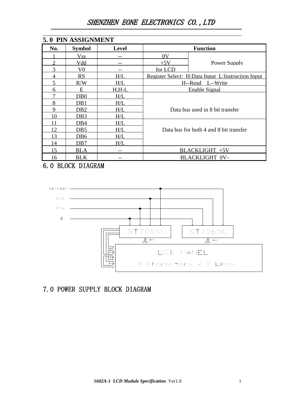# SHENZHEN EONE ELECTRONICS CO.,LTD

|     | 5.0 PIN ASSIGNMENT |              |         |                                                   |
|-----|--------------------|--------------|---------|---------------------------------------------------|
| No. | <b>Symbol</b>      | <b>Level</b> |         | <b>Function</b>                                   |
|     | <b>Vss</b>         |              | 0V      |                                                   |
| ∍   | <u>Vdd</u>         |              | $+5V$   | Power Supply                                      |
| 3   | V0                 |              | for LCD |                                                   |
|     | RS                 | H/L          |         | Register Select: H:Data Input L:Instruction Input |
|     | R/W                | H/L          |         | H--Read L--Write                                  |
| 6   | E                  | <u>H.H-L</u> |         | <b>Enable Signal</b>                              |
|     | DB <sub>0</sub>    | H/L          |         |                                                   |
| 8   | DB1                | H/L          |         |                                                   |
| 9   | DB2                | H/L          |         | Data bus used in 8 bit transfer                   |
| 10  | DB3                | H/L          |         |                                                   |
|     | DB4                | H/L          |         |                                                   |
| 12  | DB5                | H/L          |         | Data bus for both 4 and 8 bit transfer            |
| 13  | DB6                | H/L          |         |                                                   |
| l4  | DB7                | H/L          |         |                                                   |
| 15  | BLA                |              |         | BLACKLIGHT +5V                                    |
| 16  | <b>BLK</b>         | --           |         | <b>BLACKLIGHT 0V-</b>                             |

6.0 BLOCK DIAGRAM



# 7.0 POWER SUPPLY BLOCK DIAGRAM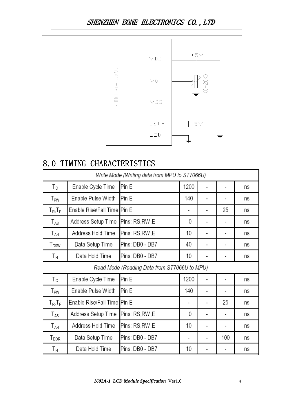

# 8.0 TIMING CHARACTERISTICS

| Write Mode (Writing data from MPU to ST7066U) |                             |                 |                |                          |                          |    |  |  |  |  |
|-----------------------------------------------|-----------------------------|-----------------|----------------|--------------------------|--------------------------|----|--|--|--|--|
| Тc                                            | Enable Cycle Time           | Pin E           | 1200           |                          |                          | ns |  |  |  |  |
| T <sub>PW</sub>                               | Enable Pulse Width          | Pin E           | 140            | $\overline{\phantom{a}}$ | $\overline{\phantom{a}}$ | ns |  |  |  |  |
| $T_R$ , $T_F$                                 | Enable Rise/Fall Time Pin E |                 |                |                          | 25                       | ns |  |  |  |  |
| $T_{AS}$                                      | Address Setup Time          | Pins: RS,RW,E   | 0              |                          |                          | ns |  |  |  |  |
| Т <sub>АН</sub>                               | Address Hold Time           | Pins: RS,RW,E   | 10             | $\blacksquare$           | $\overline{\phantom{a}}$ | ns |  |  |  |  |
| T <sub>DSW</sub>                              | Data Setup Time             | Pins: DB0 - DB7 | 40             | ۰                        | -                        | ns |  |  |  |  |
| Τн                                            | Data Hold Time              | Pins: DB0 - DB7 | 10             |                          | -                        | ns |  |  |  |  |
| Read Mode (Reading Data from ST7066U to MPU)  |                             |                 |                |                          |                          |    |  |  |  |  |
|                                               |                             |                 |                |                          |                          |    |  |  |  |  |
| Тc                                            | Enable Cycle Time           | Pin E           | 1200           |                          | ۰                        | ns |  |  |  |  |
| T <sub>PW</sub>                               | Enable Pulse Width          | Pin E           | 140            |                          |                          | ns |  |  |  |  |
| $T_R$ , $T_F$                                 | Enable Rise/Fall Time Pin E |                 | $\blacksquare$ | ۰                        | 25                       | ns |  |  |  |  |
| $T_{AS}$                                      | Address Setup Time          | Pins: RS, RW, E | 0              | ۰                        | $\overline{\phantom{a}}$ | ns |  |  |  |  |
| T <sub>AH</sub>                               | Address Hold Time           | Pins: RS, RW, E | 10             |                          |                          | ns |  |  |  |  |
| T <sub>DDR</sub>                              | Data Setup Time             | Pins: DB0 - DB7 | -              | ۰                        | 100                      | ns |  |  |  |  |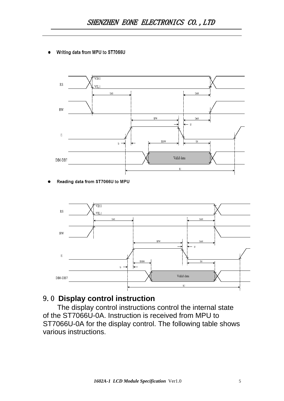Writing data from MPU to ST7066U



### Reading data from ST7066U to MPU



# 9.0 **Display control instruction**

The display control instructions control the internal state of the ST7066U-0A. Instruction is received from MPU to ST7066U-0A for the display control. The following table shows various instructions.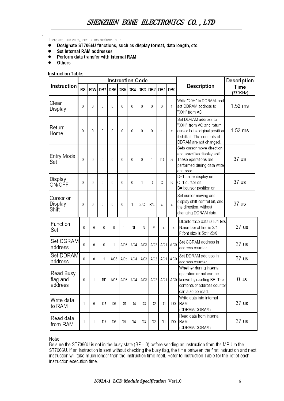There are four categories of instructions that:

- Designate ST7066U functions, such as display format, data length, etc.  $\bullet$
- Set internal RAM addresses
- Perform data transfer with internal RAM
- Others

**Instruction Table:** 

|                                  |           |     |     | Instruction Code |                 |                |                 |                 |          |                 |                                                                                                                                              | Description      |
|----------------------------------|-----------|-----|-----|------------------|-----------------|----------------|-----------------|-----------------|----------|-----------------|----------------------------------------------------------------------------------------------------------------------------------------------|------------------|
| Instruction                      | <b>RS</b> | R/W | DB7 | DB6 DB5          |                 | DB4            | DB <sub>3</sub> | DB <sub>2</sub> | DB1      | DB <sub>0</sub> | Description                                                                                                                                  | Time<br>(270KHz) |
| Clear<br>Display                 | 0         | 0   | 0   | $\theta$         | 0               | 0              | 0               | 0               | $\theta$ | 1               | Write "20H" to DDRAM, and<br>set DDRAM address to<br>"00H" from AC                                                                           | 1.52 ms          |
| Return<br>Home                   | 0         | 0   | 0   | $\mathbf 0$      | 0               | 0              | 0               | 0               | 1        | X               | Set DDRAM address to<br>"00H" from AC and return<br>cursor to its original position<br>if shifted. The contents of<br>DDRAM are not changed. | 1.52 ms          |
| Entry Mode<br>Set                | 0         | 0   | 0   | 0                | 0               | 0              | 0               | 1               | I/D      | S               | Sets cursor move direction<br>and specifies display shift.<br>These operations are<br>performed during data write<br>and read.               | 37 us            |
| Display<br>ON/OFF                | 0         | 0   | 0   | $\Omega$         | 0               | 0              | 1               | D               | C        | B               | D=1:entire display on<br>C=1:cursor on<br>B=1:cursor position on                                                                             | 37 us            |
| Cursor or<br>Display<br>Shift    | 0         | 0   | 0   | $\theta$         | 0               | 1              | S/C             | R/L             | Χ        | X               | Set cursor moving and<br>display shift control bit, and<br>the direction, without<br>changing DDRAM data.                                    | 37 us            |
| Function<br>Set                  | $\theta$  | 0   | 0   | $\theta$         | 1               | DL             | Ν               | F               | X        | X               | DL:interface data is 8/4 bits<br>N:number of line is 2/1<br>F:font size is 5x11/5x8                                                          | 37 us            |
| Set CGRAM<br>address             | $\theta$  | 0   | 0   | 1                | AC5             | AC4            | AC3             | AC <sub>2</sub> | AC1      | AC0             | Set CGRAM address in<br>address counter                                                                                                      | 37 us            |
| Set DDRAM<br>address             | $\theta$  | 0   | 1   | AC6              | AC <sub>5</sub> | AC4            | AC3             | AC <sub>2</sub> | AC1      | AC0             | Set DDRAM address in<br>address counter                                                                                                      | 37 us            |
| Read Busy<br>flag and<br>address | 0         | 1   | ΒF  | AC6              | AC5             | AC4            | AC3             | AC2             | AC1      | AC <sub>0</sub> | Whether during internal<br>operation or not can be<br>known by reading BF. The<br>contents of address counter<br>can also be read.           | 0 us             |
| Write data<br>to RAM             | 1         | 0   | D7  | D6               | D5              | D <sub>4</sub> | D3              | D2              | D1       | D0              | Write data into internal<br>RAM<br>(DDRAM/CGRAM)                                                                                             | 37 us            |
| Read data<br>from RAM            | 1         | 1   | D7  | D6               | D5              | D4             | D3              | D2              | D1       | D0              | Read data from internal<br>RAM<br>(DDRAM/CGRAM)                                                                                              | 37 us            |

Note:

Be sure the ST7066U is not in the busy state (BF = 0) before sending an instruction from the MPU to the ST7066U. If an instruction is sent without checking the busy flag, the time between the first instruction and next instruction will take much longer than the instruction time itself. Refer to Instruction Table for the list of each instruction execution time.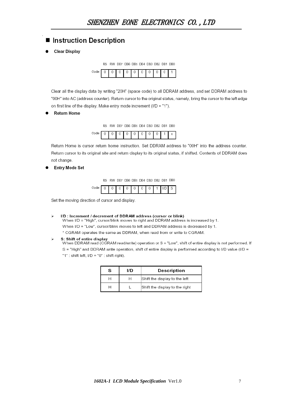# ■ Instruction Description

**Clear Display** 



Clear all the display data by writing "20H" (space code) to all DDRAM address, and set DDRAM address to "00H" into AC (address counter). Return cursor to the original status, namely, bring the cursor to the left edge on first line of the display. Make entry mode increment (I/D = "1").

### **Return Home**

RS RW DB7 DB6 DB5 DB4 DB3 DB2 DB1 DB0



Return Home is cursor return home instruction. Set DDRAM address to "00H" into the address counter. Return cursor to its original site and return display to its original status, if shifted. Contents of DDRAM does not change.

**Entry Mode Set** 



|--|--|

Set the moving direction of cursor and display.

#### I/D : Increment / decrement of DDRAM address (cursor or blink)  $\sim$

When I/D = "High", cursor/blink moves to right and DDRAM address is increased by 1. When I/D = "Low", cursor/blink moves to left and DDRAM address is decreased by 1.

\* CGRAM operates the same as DDRAM, when read from or write to CGRAM.

### S: Shift of entire display

When DDRAM read (CGRAM read/write) operation or S = "Low", shift of entire display is not performed. If S = "High" and DDRAM write operation, shift of entire display is performed according to I/D value (I/D = "1" : shift left, I/D = "0" : shift right).

| s | חוו | <b>Description</b>             |
|---|-----|--------------------------------|
|   | н   | Shift the display to the left  |
|   |     | Shift the display to the right |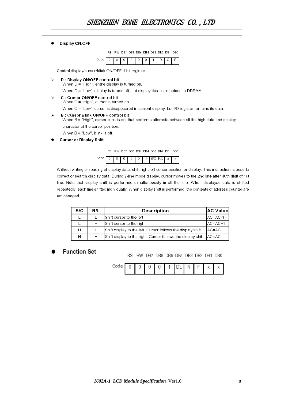#### Display ON/OFF  $\bullet$

RS RW DB7 DB6 DB5 DB4 DB3 DB2 DB1 DB0



Control display/cursor/blink ON/OFF 1 bit register

D : Display ON/OFF control bit  $\mathbf{r}$ When  $D = "High",$  entire display is turned on.

When D = "Low", display is turned off, but display data is remained in DDRAM.

- C : Cursor ON/OFF control bit  $\triangleright$ 
	- When C = "High", cursor is turned on.
	- When C = "Low", cursor is disappeared in current display, but I/D register remains its data.

#### **B: Cursor Blink ON/OFF control bit**  $\mathbf{r}$

When B = "High", cursor blink is on, that performs alternate between all the high data and display character at the cursor position.

When  $B = "Low",$  blink is off.

**Cursor or Display Shift** 

RS RW DB7 DB6 DB5 DB4 DB3 DB2 DB1 DB0



Without writing or reading of display data, shift right/left cursor position or display. This instruction is used to correct or search display data. During 2-line mode display, cursor moves to the 2nd line after 40th digit of 1st line. Note that display shift is performed simultaneously in all the line. When displayed data is shifted repeatedly, each line shifted individually. When display shift is performed, the contents of address counter are not changed.

| S/C | R/L | Description                                                        | <b>AC Valuel</b> |
|-----|-----|--------------------------------------------------------------------|------------------|
|     |     | lShift cursor to the left                                          | $AC=AC-1$        |
|     | н   | Shift cursor to the right                                          | $AC=AC+1$        |
| H   |     | Shift display to the left. Cursor follows the display shift        | $AC=AC$          |
| н   | н   | Shift display to the right. Cursor follows the display shift AC=AC |                  |

### **Function Set**

RS RW DB7 DB6 DB5 DB4 DB3 DB2 DB1 DB0

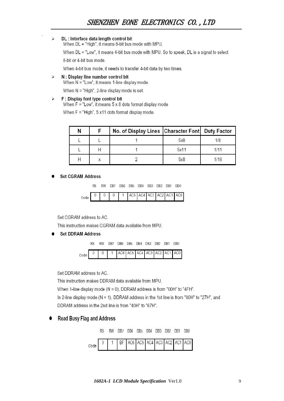#### DL : Interface data length control bit  $\triangleright$

When DL = "High", it means 8-bit bus mode with MPU.

When DL = "Low", it means 4-bit bus mode with MPU. So to speak, DL is a signal to select

8-bit or 4-bit bus mode.

When 4-bit bus mode, it needs to transfer 4-bit data by two times.

 $\triangleright$ N: Display line number control bit

When N = "Low", it means 1-line display mode.

When N = "High", 2-line display mode is set.

#### F: Display font type control bit ≻

When  $F = "Low",$  it means  $5 \times 8$  dots format display mode

When F = "High", 5 x11 dots format display mode.

|  | No. of Display Lines   Character Font  Duty Factor |      |     |
|--|----------------------------------------------------|------|-----|
|  |                                                    | 5x8  | 1/8 |
|  |                                                    | 5x11 |     |
|  |                                                    | 5x8  | 716 |

### **Set CGRAM Address**

RS RW DB7 DB6 DB5 DB4 DB3 DB2 DB1 DB0

| AC5 AC4 AC3 AC2 AC1 AC0<br>m. |
|-------------------------------|
|-------------------------------|

Set CGRAM address to AC.

This instruction makes CGRAM data available from MPU.

### **Set DDRAM Address**



|  |  |  |  |  | AC6   AC5   AC4   AC3   AC2   AC1   AC0 |  |  |  |  |  |
|--|--|--|--|--|-----------------------------------------|--|--|--|--|--|
|--|--|--|--|--|-----------------------------------------|--|--|--|--|--|

Set DDRAM address to AC.

This instruction makes DDRAM data available from MPU.

When 1-line display mode (N = 0), DDRAM address is from "00H" to "4FH".

In 2-line display mode ( $N = 1$ ), DDRAM address in the 1st line is from "00H" to "27H", and DDRAM address in the 2nd line is from "40H" to "67H".

### **Read Busy Flag and Address**

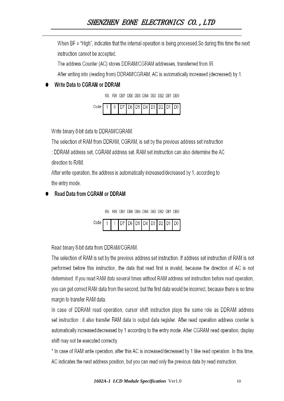When BF = "High", indicates that the internal operation is being processed. So during this time the next instruction cannot be accepted.

The address Counter (AC) stores DDRAM/CGRAM addresses, transferred from IR.

After writing into (reading from) DDRAM/CGRAM, AC is automatically increased (decreased) by 1.

# Write Data to CGRAM or DDRAM

RS RW DB7 DB6 DB5 DB4 DB3 DB2 DB1 DB0



Write binary 8-bit data to DDRAM/CGRAM.

The selection of RAM from DDRAM, CGRAM, is set by the previous address set instruction

: DDRAM address set, CGRAM address set, RAM set instruction can also determine the AC direction to RAM.

After write operation, the address is automatically increased/decreased by 1, according to the entry mode.

# **Read Data from CGRAM or DDRAM**



|  |  |  |  |  | 1 1 1 D7 D6 D5 D4 D3 D2 D1 D0 |
|--|--|--|--|--|-------------------------------|
|  |  |  |  |  |                               |

Read binary 8-bit data from DDRAM/CGRAM.

The selection of RAM is set by the previous address set instruction. If address set instruction of RAM is not performed before this instruction, the data that read first is invalid, because the direction of AC is not determined. If you read RAM data several times without RAM address set instruction before read operation, you can get correct RAM data from the second, but the first data would be incorrect, because there is no time margin to transfer RAM data.

In case of DDRAM read operation, cursor shift instruction plays the same role as DDRAM address set instruction : it also transfer RAM data to output data register. After read operation address counter is automatically increased/decreased by 1 according to the entry mode. After CGRAM read operation, display shift may not be executed correctly.

\* In case of RAM write operation, after this AC is increased/decreased by 1 like read operation. In this time, AC indicates the next address position, but you can read only the previous data by read instruction.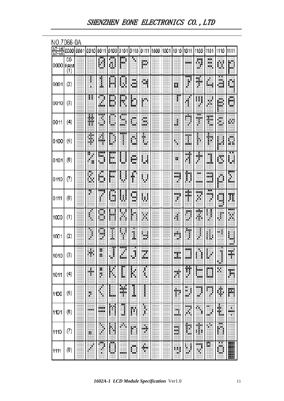| NO.7066-0A                    |                         |  |       |                |              |                 |                      |                   |                                         |  |                        |               |             |                  |                               |                 |
|-------------------------------|-------------------------|--|-------|----------------|--------------|-----------------|----------------------|-------------------|-----------------------------------------|--|------------------------|---------------|-------------|------------------|-------------------------------|-----------------|
| -64<br><u>67</u><br>$63 - 60$ | 000010001               |  | 10010 | 0011           |              |                 |                      |                   | 0100 0101 0110 0111 1000 1001 1010 1011 |  |                        |               | 1100        | 1101             | 1110                          | 1111            |
| 0000 RAM                      | CG<br>$\left( 1\right)$ |  |       | ₩              | Ŧ            | E               | ⊕                    | ₩                 |                                         |  |                        | mm            | ₩           | ш<br>mini.<br>m. | ▦                             | ₩<br>ш          |
| 0001                          | (2)                     |  |       | ١<br>ш         | Ш            | Ħ               | ×н<br>d              | ä.<br>₩           |                                         |  | 雝                      | <br>∦         | 嚻<br>qti    | ▦                | Ħ                             | 鼺<br>ш          |
| 0010                          | $\left( 3\right)$       |  | Ħ.    | 期<br>m.        | <br>₽        | R               | Ö                    | m                 |                                         |  |                        |               | H           | U.               | ₿                             | ministri<br>翢   |
| 0011                          | (4)                     |  | H     | <br>4          | ∎            | 翢<br>m          | Ë                    | шu,<br>ш.<br>min. |                                         |  |                        | 睡<br>₽        | an ing<br>э | E                | ш<br>璽                        | 翤               |
| 0400                          | (5)                     |  | ŧ     | 蒕              | ∎            | ш<br>I          | Ő                    | Ë                 |                                         |  | \$                     | HH<br>讍       | H           | Ħ                | ▦                             | Ë               |
| 0101                          | (6)                     |  | Ħ     | Ш<br>mar.<br># | 譚<br>鼺       | i<br>m.         | m<br>bini.<br>ini d  | B                 |                                         |  | Ш<br>H.                | 罵             | 讍<br>叫      | E                | Ë                             | Ħ<br>ш<br>瞓     |
| 0410                          | $\left( 7\right)$       |  | Ë     | п<br>▊         | шш<br>ш<br>ш | I               | F<br>H               | ₩                 |                                         |  | an dan ke<br>mar.<br>щ | E             | wк<br>ana a | maa B            | ▦                             | <br>I           |
| 0111                          | (8)                     |  | H     | Ш<br>φ<br>F    | ш<br>щ<br>ш  | U               | <u>ma</u><br>閧<br>w. | ▦                 |                                         |  | Щ<br>Щ                 | ыHн<br>in bir | mm<br>뾾     | 酾<br>E           | ▦<br>шu                       | 蠶               |
| 1000                          | (1)                     |  | E     | ш<br>9         | M            |                 | 巤                    | Ħ                 |                                         |  | 灩                      | ∎             | alia.<br>罤  | E                | 瓕                             | шш<br>H         |
| 1001                          | (2)                     |  | 川野    | 圜<br>m         | Ī            | 壨<br>Ħ          | Ë                    | ∎                 |                                         |  | m.<br>ш                | T             | I<br>m      | 闀                | 典                             | н<br>w<br>w.    |
| 1010                          | $\left( 3\right)$       |  | ш     | 麒<br>H         | Ŧ<br>鼺       | 靊<br>œ<br>han i | шH<br>膷              | mщ<br>鱜           |                                         |  | 鼺                      | mm<br>الشادا  | ш<br>ŀ      | B<br>豳           | ₩<br>壨                        | m.<br>膷         |
| 1011                          | (4)                     |  | 鼺     | H<br>B         | H            | Ī               | H                    | I                 |                                         |  | ₩                      | 覇<br>ш        | ₩<br>ain i  | ▦<br>ш           | H                             | 譵               |
| 1100                          | (5)                     |  | H     | H              | ∎            | 鬻<br>Ħ          | Ŧ<br>鷱               | į<br>Ŧ            |                                         |  | E                      | ∎             | ₩ų<br>шū    |                  | $\begin{matrix} \end{matrix}$ | Ħ               |
| 1101                          | $(\!\!6)$               |  | man s | <br>man a      | ш            | ш<br>H          | 鬪                    | l<br>ш<br>Ŀ       |                                         |  | ▦                      | E<br>眲        | 壣           | ш<br>躝           | 覇                             | 埔<br>mini,<br>魧 |
| 1110                          | $\left( 7\right)$       |  | 鹽     | l              | Ë            | 駉               | ▦                    | Ħ                 |                                         |  | 龞                      | F             | ŧ           | m.               | ш<br>▦                        |                 |
| 1111                          | (3)                     |  | Ħ     | 畾              | æч<br>۲      |                 | m                    | Ħ                 |                                         |  | ▦                      | H             | ww.         | 蹑                | I                             | ▒               |